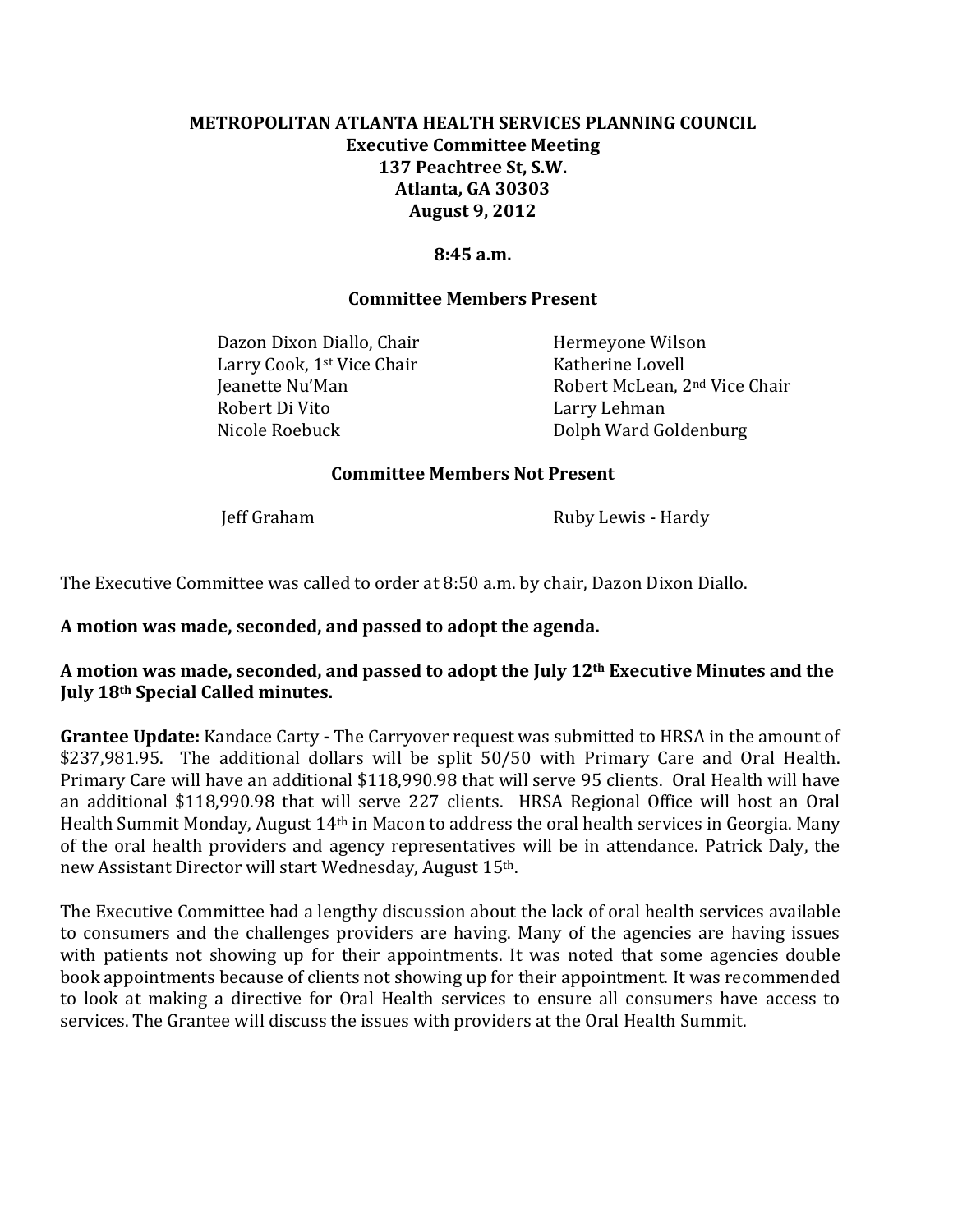# **METROPOLITAN ATLANTA HEALTH SERVICES PLANNING COUNCIL Executive Committee Meeting 137 Peachtree St, S.W. Atlanta, GA 30303 August 9, 2012**

#### **8:45 a.m.**

#### **Committee Members Present**

Dazon Dixon Diallo, Chair Hermeyone Wilson Larry Cook, 1<sup>st</sup> Vice Chair Katherine Lovell Robert Di Vito Larry Lehman Nicole Roebuck Dolph Ward Goldenburg

Ieanette Nu'Man Robert McLean, 2<sup>nd</sup> Vice Chair

#### **Committee Members Not Present**

Jeff Graham Ruby Lewis - Hardy

The Executive Committee was called to order at 8:50 a.m. by chair, Dazon Dixon Diallo.

#### **A motion was made, seconded, and passed to adopt the agenda.**

## **A motion was made, seconded, and passed to adopt the July 12th Executive Minutes and the July 18th Special Called minutes.**

**Grantee Update:** Kandace Carty **-** The Carryover request was submitted to HRSA in the amount of \$237,981.95. The additional dollars will be split 50/50 with Primary Care and Oral Health. Primary Care will have an additional \$118,990.98 that will serve 95 clients. Oral Health will have an additional \$118,990.98 that will serve 227 clients. HRSA Regional Office will host an Oral Health Summit Monday, August 14th in Macon to address the oral health services in Georgia. Many of the oral health providers and agency representatives will be in attendance. Patrick Daly, the new Assistant Director will start Wednesday, August 15th.

The Executive Committee had a lengthy discussion about the lack of oral health services available to consumers and the challenges providers are having. Many of the agencies are having issues with patients not showing up for their appointments. It was noted that some agencies double book appointments because of clients not showing up for their appointment. It was recommended to look at making a directive for Oral Health services to ensure all consumers have access to services. The Grantee will discuss the issues with providers at the Oral Health Summit.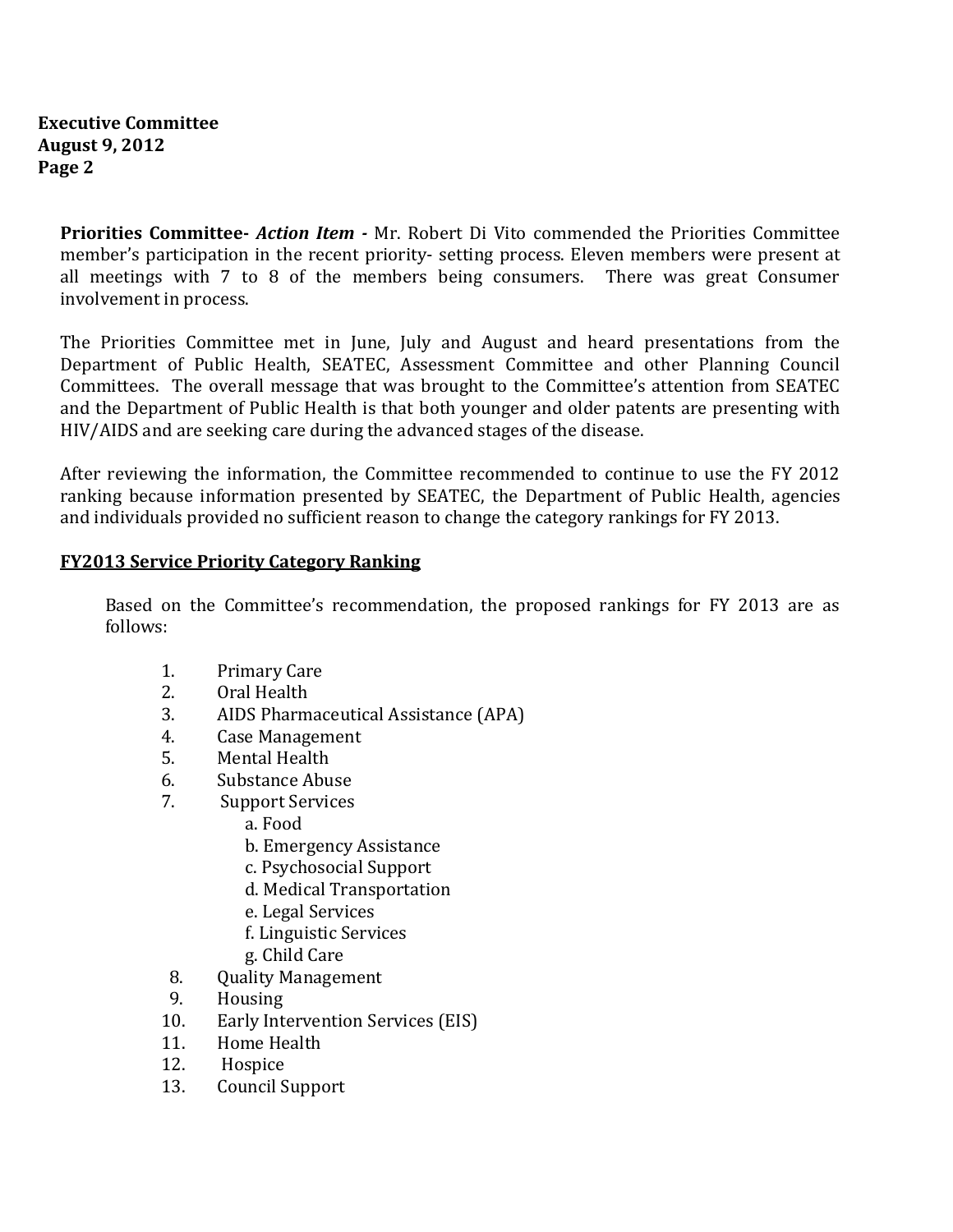**Priorities Committee-** *Action Item -* Mr. Robert Di Vito commended the Priorities Committee member's participation in the recent priority- setting process. Eleven members were present at all meetings with 7 to 8 of the members being consumers. There was great Consumer involvement in process.

The Priorities Committee met in June, July and August and heard presentations from the Department of Public Health, SEATEC, Assessment Committee and other Planning Council Committees. The overall message that was brought to the Committee's attention from SEATEC and the Department of Public Health is that both younger and older patents are presenting with HIV/AIDS and are seeking care during the advanced stages of the disease.

After reviewing the information, the Committee recommended to continue to use the FY 2012 ranking because information presented by SEATEC, the Department of Public Health, agencies and individuals provided no sufficient reason to change the category rankings for FY 2013.

#### **FY2013 Service Priority Category Ranking**

Based on the Committee's recommendation, the proposed rankings for FY 2013 are as follows:

- 1. Primary Care
- 2. Oral Health
- 3. AIDS Pharmaceutical Assistance (APA)
- 4. Case Management
- 5. Mental Health
- 6. Substance Abuse
- 7. Support Services
	- a. Food
	- b. Emergency Assistance
	- c. Psychosocial Support
	- d. Medical Transportation
	- e. Legal Services
	- f. Linguistic Services
	- g. Child Care
- 8. Quality Management
- 9. Housing
- 10. Early Intervention Services (EIS)
- 11. Home Health
- 12. Hospice
- 13. Council Support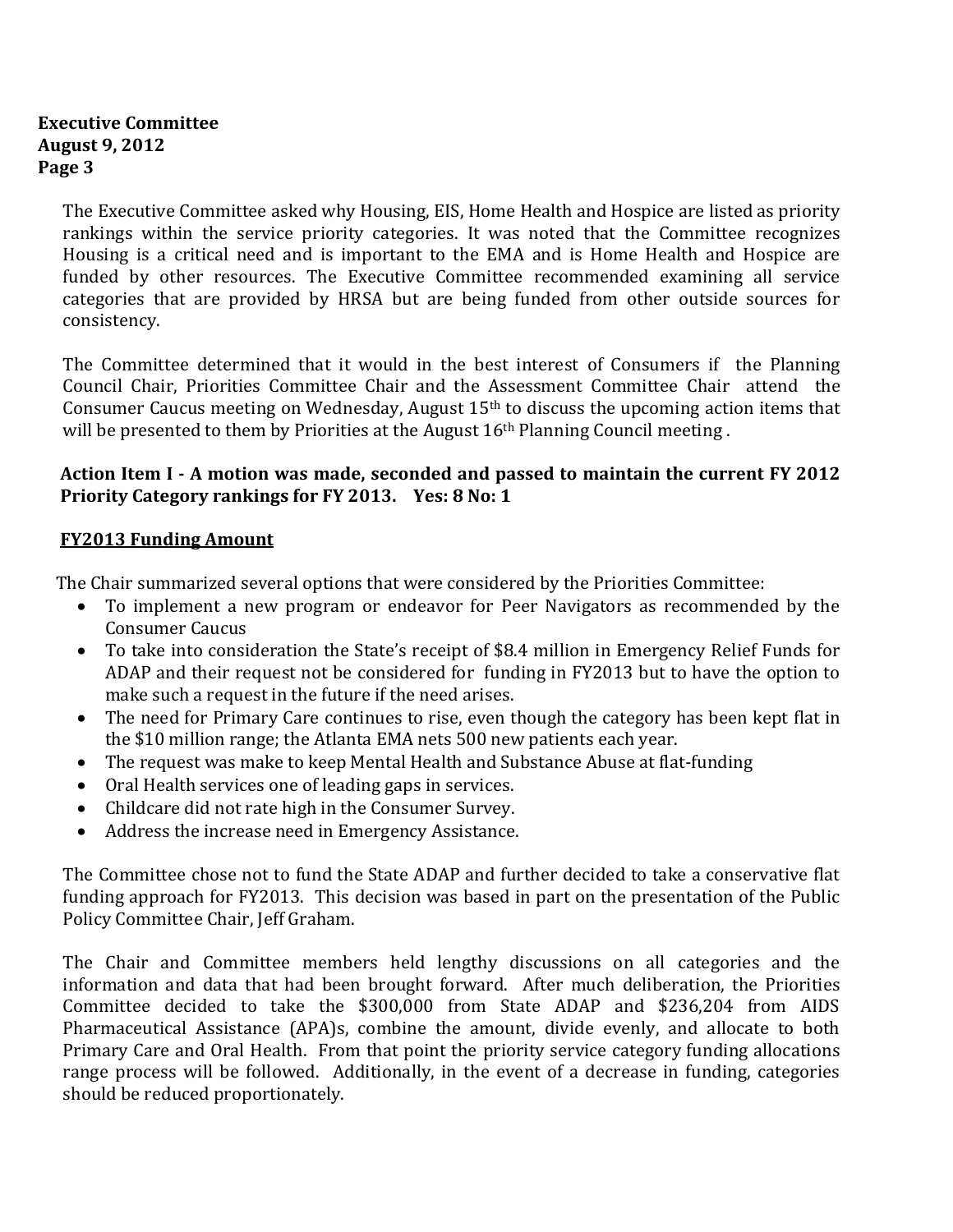#### **Executive Committee August 9, 2012 Page 3**

The Executive Committee asked why Housing, EIS, Home Health and Hospice are listed as priority rankings within the service priority categories. It was noted that the Committee recognizes Housing is a critical need and is important to the EMA and is Home Health and Hospice are funded by other resources. The Executive Committee recommended examining all service categories that are provided by HRSA but are being funded from other outside sources for consistency.

The Committee determined that it would in the best interest of Consumers if the Planning Council Chair, Priorities Committee Chair and the Assessment Committee Chair attend the Consumer Caucus meeting on Wednesday, August 15th to discuss the upcoming action items that will be presented to them by Priorities at the August  $16<sup>th</sup>$  Planning Council meeting.

# **Action Item I - A motion was made, seconded and passed to maintain the current FY 2012 Priority Category rankings for FY 2013. Yes: 8 No: 1**

## **FY2013 Funding Amount**

The Chair summarized several options that were considered by the Priorities Committee:

- To implement a new program or endeavor for Peer Navigators as recommended by the Consumer Caucus
- To take into consideration the State's receipt of \$8.4 million in Emergency Relief Funds for ADAP and their request not be considered for funding in FY2013 but to have the option to make such a request in the future if the need arises.
- The need for Primary Care continues to rise, even though the category has been kept flat in the \$10 million range; the Atlanta EMA nets 500 new patients each year.
- The request was make to keep Mental Health and Substance Abuse at flat-funding
- Oral Health services one of leading gaps in services.
- Childcare did not rate high in the Consumer Survey.
- Address the increase need in Emergency Assistance.

The Committee chose not to fund the State ADAP and further decided to take a conservative flat funding approach for FY2013. This decision was based in part on the presentation of the Public Policy Committee Chair, Jeff Graham.

The Chair and Committee members held lengthy discussions on all categories and the information and data that had been brought forward. After much deliberation, the Priorities Committee decided to take the \$300,000 from State ADAP and \$236,204 from AIDS Pharmaceutical Assistance (APA)s, combine the amount, divide evenly, and allocate to both Primary Care and Oral Health. From that point the priority service category funding allocations range process will be followed. Additionally, in the event of a decrease in funding, categories should be reduced proportionately.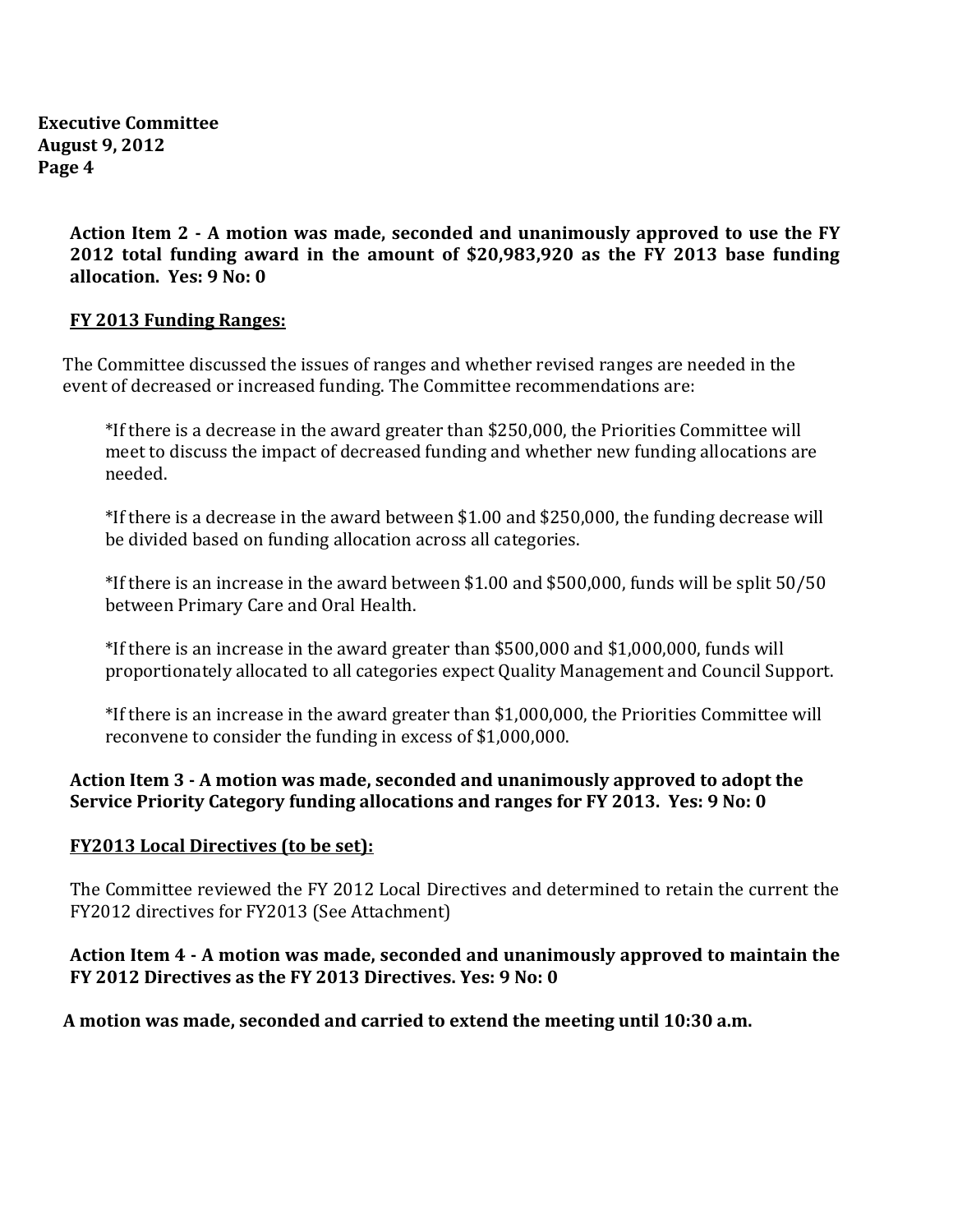**Executive Committee August 9, 2012 Page 4**

> **Action Item 2 - A motion was made, seconded and unanimously approved to use the FY 2012 total funding award in the amount of \$20,983,920 as the FY 2013 base funding allocation. Yes: 9 No: 0**

#### **FY 2013 Funding Ranges:**

The Committee discussed the issues of ranges and whether revised ranges are needed in the event of decreased or increased funding. The Committee recommendations are:

\*If there is a decrease in the award greater than \$250,000, the Priorities Committee will meet to discuss the impact of decreased funding and whether new funding allocations are needed.

\*If there is a decrease in the award between \$1.00 and \$250,000, the funding decrease will be divided based on funding allocation across all categories.

\*If there is an increase in the award between \$1.00 and \$500,000, funds will be split 50/50 between Primary Care and Oral Health.

\*If there is an increase in the award greater than \$500,000 and \$1,000,000, funds will proportionately allocated to all categories expect Quality Management and Council Support.

\*If there is an increase in the award greater than \$1,000,000, the Priorities Committee will reconvene to consider the funding in excess of \$1,000,000.

# **Action Item 3 - A motion was made, seconded and unanimously approved to adopt the Service Priority Category funding allocations and ranges for FY 2013. Yes: 9 No: 0**

## **FY2013 Local Directives (to be set):**

The Committee reviewed the FY 2012 Local Directives and determined to retain the current the FY2012 directives for FY2013 (See Attachment)

## **Action Item 4 - A motion was made, seconded and unanimously approved to maintain the FY 2012 Directives as the FY 2013 Directives. Yes: 9 No: 0**

## **A motion was made, seconded and carried to extend the meeting until 10:30 a.m.**